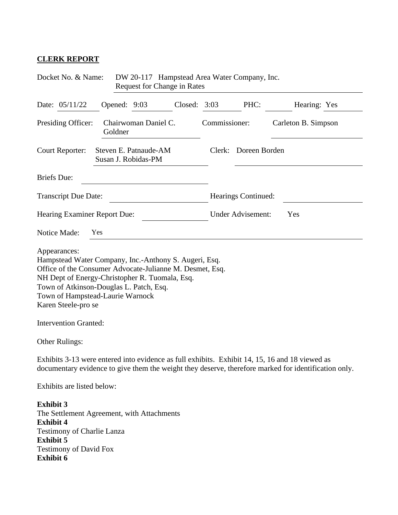# **CLERK REPORT**

| Docket No. & Name:<br>DW 20-117 Hampstead Area Water Company, Inc.<br><b>Request for Change in Rates</b>                                                                                                                                                                                  |                                              |                      |                |                                 |      |                                                                                                                                                                                                        |  |
|-------------------------------------------------------------------------------------------------------------------------------------------------------------------------------------------------------------------------------------------------------------------------------------------|----------------------------------------------|----------------------|----------------|---------------------------------|------|--------------------------------------------------------------------------------------------------------------------------------------------------------------------------------------------------------|--|
| Date: 05/11/22                                                                                                                                                                                                                                                                            | Opened: 9:03                                 |                      | Closed: $3:03$ |                                 | PHC: | Hearing: Yes                                                                                                                                                                                           |  |
| Presiding Officer:                                                                                                                                                                                                                                                                        | Goldner                                      | Chairwoman Daniel C. |                | Commissioner:                   |      | Carleton B. Simpson                                                                                                                                                                                    |  |
| Court Reporter:                                                                                                                                                                                                                                                                           | Steven E. Patnaude-AM<br>Susan J. Robidas-PM |                      |                | Clerk: Doreen Borden            |      |                                                                                                                                                                                                        |  |
| <b>Briefs</b> Due:                                                                                                                                                                                                                                                                        |                                              |                      |                |                                 |      |                                                                                                                                                                                                        |  |
| <b>Transcript Due Date:</b>                                                                                                                                                                                                                                                               |                                              |                      |                | Hearings Continued:             |      |                                                                                                                                                                                                        |  |
| Hearing Examiner Report Due:                                                                                                                                                                                                                                                              |                                              |                      |                | <b>Under Advisement:</b><br>Yes |      |                                                                                                                                                                                                        |  |
| Notice Made:                                                                                                                                                                                                                                                                              | Yes                                          |                      |                |                                 |      |                                                                                                                                                                                                        |  |
| Appearances:<br>Hampstead Water Company, Inc.-Anthony S. Augeri, Esq.<br>Office of the Consumer Advocate-Julianne M. Desmet, Esq.<br>NH Dept of Energy-Christopher R. Tuomala, Esq.<br>Town of Atkinson-Douglas L. Patch, Esq.<br>Town of Hampstead-Laurie Warnock<br>Karen Steele-pro se |                                              |                      |                |                                 |      |                                                                                                                                                                                                        |  |
| <b>Intervention Granted:</b>                                                                                                                                                                                                                                                              |                                              |                      |                |                                 |      |                                                                                                                                                                                                        |  |
| <b>Other Rulings:</b>                                                                                                                                                                                                                                                                     |                                              |                      |                |                                 |      |                                                                                                                                                                                                        |  |
|                                                                                                                                                                                                                                                                                           |                                              |                      |                |                                 |      | Exhibits 3-13 were entered into evidence as full exhibits. Exhibit 14, 15, 16 and 18 viewed as<br>documentary evidence to give them the weight they deserve, therefore marked for identification only. |  |
| Exhibits are listed below:                                                                                                                                                                                                                                                                |                                              |                      |                |                                 |      |                                                                                                                                                                                                        |  |
| <b>Exhibit 3</b><br>The Settlement Agreement, with Attachments<br><b>Exhibit 4</b><br>Testimony of Charlie Lanza<br><b>Exhibit 5</b><br><b>Testimony of David Fox</b><br><b>Exhibit 6</b>                                                                                                 |                                              |                      |                |                                 |      |                                                                                                                                                                                                        |  |